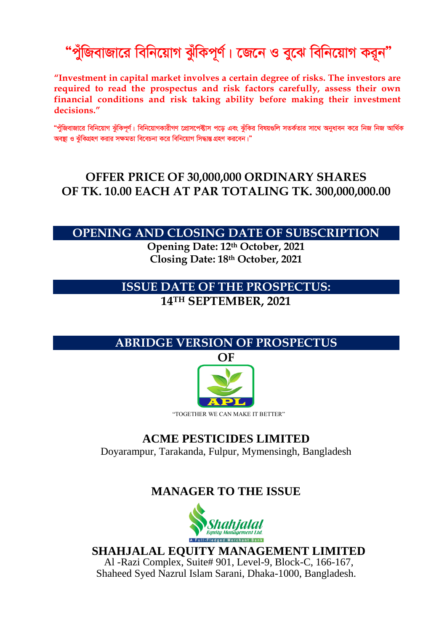

**"Investment in capital market involves a certain degree of risks. The investors are required to read the prospectus and risk factors carefully, assess their own financial conditions and risk taking ability before making their investment decisions."** 

"পঁজিবাজারে বিনিয়োগ ঝঁকিপর্ণ। বিনিয়োগকারীগণ প্রোসপেক্টাস পডে এবং ঝঁকির বিষয়গুলি সতর্কতার সাথে অনধাবন করে নিজ নিজ আর্থিক অবষ্ঠা ও ঝঁকিগ্রহণ করার সক্ষমতা বিবেচনা করে বিনিয়োগ সিদ্ধান্ত গ্রহণ করবেন।"

# **OFFER PRICE OF 30,000,000 ORDINARY SHARES OF TK. 10.00 EACH AT PAR TOTALING TK. 300,000,000.00**

### **OPENING AND CLOSING DATE OF SUBSCRIPTION**

**Opening Date: 12th October, 2021 Closing Date: 18th October, 2021**

### **ISSUE DATE OF THE PROSPECTUS: 14TH SEPTEMBER, 2021**

### **ABRIDGE VERSION OF PROSPECTUS**



"TOGETHER WE CAN MAKE IT BETTER"

### **ACME PESTICIDES LIMITED**

Doyarampur, Tarakanda, Fulpur, Mymensingh, Bangladesh

# **MANAGER TO THE ISSUE**



**SHAHJALAL EQUITY MANAGEMENT LIMITED** Al -Razi Complex, Suite# 901, Level-9, Block-C, 166-167, Shaheed Syed Nazrul Islam Sarani, Dhaka-1000, Bangladesh.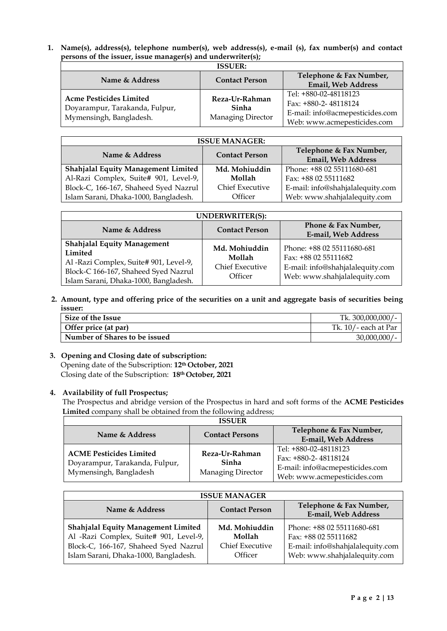**1. Name(s), address(s), telephone number(s), web address(s), e-mail (s), fax number(s) and contact persons of the issuer, issue manager(s) and underwriter(s);**

| <b>ISSUER:</b>                                                                              |                                              |                                                                                                                 |  |
|---------------------------------------------------------------------------------------------|----------------------------------------------|-----------------------------------------------------------------------------------------------------------------|--|
| Name & Address                                                                              | <b>Contact Person</b>                        | Telephone & Fax Number,<br>Email, Web Address                                                                   |  |
| <b>Acme Pesticides Limited</b><br>Doyarampur, Tarakanda, Fulpur,<br>Mymensingh, Bangladesh. | Reza-Ur-Rahman<br>Sinha<br>Managing Director | Tel: +880-02-48118123<br>Fax: +880-2-48118124<br>E-mail: info@acmepesticides.com<br>Web: www.acmepesticides.com |  |

| <b>ISSUE MANAGER:</b>                                       |                 |                                                      |  |
|-------------------------------------------------------------|-----------------|------------------------------------------------------|--|
| Name & Address<br><b>Contact Person</b>                     |                 | Telephone & Fax Number,<br><b>Email, Web Address</b> |  |
| <b>Shahjalal Equity Management Limited</b><br>Md. Mohiuddin |                 | Phone: +88 02 55111680-681                           |  |
| Al-Razi Complex, Suite# 901, Level-9,                       | Mollah          | Fax: +88 02 55111682                                 |  |
| Block-C, 166-167, Shaheed Syed Nazrul                       | Chief Executive | E-mail: info@shahjalalequity.com                     |  |
| Islam Sarani, Dhaka-1000, Bangladesh.                       | Officer         | Web: www.shahjalalequity.com                         |  |

| UNDERWRITER(S):                                                                                                                                                          |                                                       |                                                                                                                        |  |
|--------------------------------------------------------------------------------------------------------------------------------------------------------------------------|-------------------------------------------------------|------------------------------------------------------------------------------------------------------------------------|--|
| Name & Address                                                                                                                                                           | <b>Contact Person</b>                                 | Phone & Fax Number,<br>E-mail, Web Address                                                                             |  |
| <b>Shahjalal Equity Management</b><br>Limited<br>Al -Razi Complex, Suite# 901, Level-9,<br>Block-C 166-167, Shaheed Syed Nazrul<br>Islam Sarani, Dhaka-1000, Bangladesh. | Md. Mohiuddin<br>Mollah<br>Chief Executive<br>Officer | Phone: +88 02 55111680-681<br>Fax: +88 02 55111682<br>E-mail: info@shahjalalequity.com<br>Web: www.shahjalalequity.com |  |

**2. Amount, type and offering price of the securities on a unit and aggregate basis of securities being issuer:** 

| Size of the Issue             | Tk. 300,000,000/-    |
|-------------------------------|----------------------|
| Offer price (at par)          | Tk. 10/- each at Par |
| Number of Shares to be issued | 30,000,000/          |

**3. Opening and Closing date of subscription:** Opening date of the Subscription: **12 th October, 2021** Closing date of the Subscription: **18 th October, 2021**

#### **4. Availability of full Prospectus;**

The Prospectus and abridge version of the Prospectus in hard and soft forms of the **ACME Pesticides Limited** company shall be obtained from the following address;

| <b>ISSUER</b>                                                                              |                                              |                                                                                                                 |
|--------------------------------------------------------------------------------------------|----------------------------------------------|-----------------------------------------------------------------------------------------------------------------|
| Name & Address                                                                             | <b>Contact Persons</b>                       | Telephone & Fax Number,<br>E-mail, Web Address                                                                  |
| <b>ACME Pesticides Limited</b><br>Doyarampur, Tarakanda, Fulpur,<br>Mymensingh, Bangladesh | Reza-Ur-Rahman<br>Sinha<br>Managing Director | Tel: +880-02-48118123<br>Fax: +880-2-48118124<br>E-mail: info@acmepesticides.com<br>Web: www.acmepesticides.com |

| <b>ISSUE MANAGER</b>                                                                                                                                                   |                                                       |                                                                                                                        |
|------------------------------------------------------------------------------------------------------------------------------------------------------------------------|-------------------------------------------------------|------------------------------------------------------------------------------------------------------------------------|
| Name & Address                                                                                                                                                         | <b>Contact Person</b>                                 | Telephone & Fax Number,<br>E-mail, Web Address                                                                         |
| <b>Shahjalal Equity Management Limited</b><br>Al -Razi Complex, Suite# 901, Level-9,<br>Block-C, 166-167, Shaheed Syed Nazrul<br>Islam Sarani, Dhaka-1000, Bangladesh. | Md. Mohiuddin<br>Mollah<br>Chief Executive<br>Officer | Phone: +88 02 55111680-681<br>Fax: +88 02 55111682<br>E-mail: info@shahjalalequity.com<br>Web: www.shahjalalequity.com |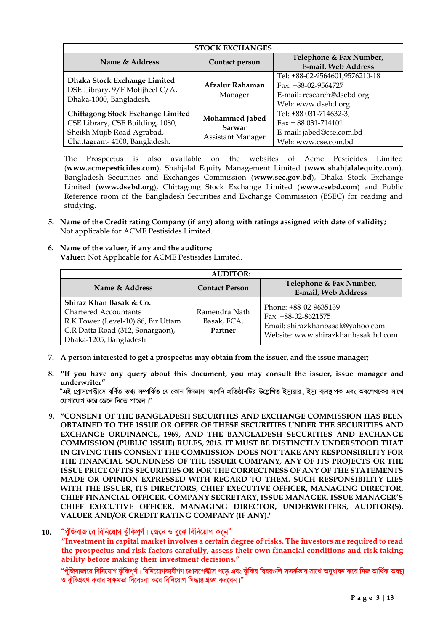| <b>STOCK EXCHANGES</b>                                                                                                                      |                                                      |                                                                                                           |  |
|---------------------------------------------------------------------------------------------------------------------------------------------|------------------------------------------------------|-----------------------------------------------------------------------------------------------------------|--|
| Name & Address                                                                                                                              | Contact person                                       | Telephone & Fax Number,<br>E-mail, Web Address                                                            |  |
| Dhaka Stock Exchange Limited<br>DSE Library, 9/F Motijheel C/A,<br>Dhaka-1000, Bangladesh.                                                  | Afzalur Rahaman<br>Manager                           | Tel: +88-02-9564601,9576210-18<br>Fax: +88-02-9564727<br>E-mail: research@dsebd.org<br>Web: www.dsebd.org |  |
| <b>Chittagong Stock Exchange Limited</b><br>CSE Library, CSE Building, 1080,<br>Sheikh Mujib Road Agrabad,<br>Chattagram- 4100, Bangladesh. | Mohammed Jabed<br><b>Sarwar</b><br>Assistant Manager | Tel: +88 031-714632-3,<br>Fax:+88 031-714101<br>E-mail: jabed@cse.com.bd<br>Web: www.cse.com.bd           |  |

The Prospectus is also available on the websites of Acme Pesticides Limited (**www.acmepesticides.com**), Shahjalal Equity Management Limited (**www.shahjalalequity.com**), Bangladesh Securities and Exchanges Commission (**www.sec.gov.bd**), Dhaka Stock Exchange Limited (**www.dsebd.org**), Chittagong Stock Exchange Limited (**www.csebd.com**) and Public Reference room of the Bangladesh Securities and Exchange Commission (BSEC) for reading and studying.

**5. Name of the Credit rating Company (if any) along with ratings assigned with date of validity;** Not applicable for ACME Pestisides Limited.

### **6. Name of the valuer, if any and the auditors;**

**Valuer:** Not Applicable for ACME Pestisides Limited.

| <b>AUDITOR:</b>                                                                                                                                             |                                         |                                                                                                                           |
|-------------------------------------------------------------------------------------------------------------------------------------------------------------|-----------------------------------------|---------------------------------------------------------------------------------------------------------------------------|
| Name & Address                                                                                                                                              | <b>Contact Person</b>                   | Telephone & Fax Number,<br>E-mail, Web Address                                                                            |
| Shiraz Khan Basak & Co.<br><b>Chartered Accountants</b><br>R.K Tower (Level-10) 86, Bir Uttam<br>C.R Datta Road (312, Sonargaon),<br>Dhaka-1205, Bangladesh | Ramendra Nath<br>Basak, FCA,<br>Partner | Phone: +88-02-9635139<br>Fax: $+88-02-8621575$<br>Email: shirazkhanbasak@yahoo.com<br>Website: www.shirazkhanbasak.bd.com |

- **7. A person interested to get a prospectus may obtain from the issuer, and the issue manager;**
- **8.** *"***If you have any query about this document, you may consult the issuer, issue manager and underwriter"**

"এই প্ৰোসপেক্টাসে বৰ্ণিত তথ্য সম্পৰ্কিত যে কোন জিজ্ঞাসা আপনি প্ৰতিষ্ঠানটির উল্ৰেখিত ইস্যয়ার, ইস্য ব্যবক্তাপক এবং অবলেখকের সাথে **যোগাযোগ করে জেনে নিতে পারেন।"** 

- **9. "CONSENT OF THE BANGLADESH SECURITIES AND EXCHANGE COMMISSION HAS BEEN OBTAINED TO THE ISSUE OR OFFER OF THESE SECURITIES UNDER THE SECURITIES AND EXCHANGE ORDINANCE, 1969, AND THE BANGLADESH SECURITIES AND EXCHANGE COMMISSION (PUBLIC ISSUE) RULES, 2015. IT MUST BE DISTINCTLY UNDERSTOOD THAT IN GIVING THIS CONSENT THE COMMISSION DOES NOT TAKE ANY RESPONSIBILITY FOR THE FINANCIAL SOUNDNESS OF THE ISSUER COMPANY, ANY OF ITS PROJECTS OR THE ISSUE PRICE OF ITS SECURITIES OR FOR THE CORRECTNESS OF ANY OF THE STATEMENTS MADE OR OPINION EXPRESSED WITH REGARD TO THEM. SUCH RESPONSIBILITY LIES WITH THE ISSUER, ITS DIRECTORS, CHIEF EXECUTIVE OFFICER, MANAGING DIRECTOR, CHIEF FINANCIAL OFFICER, COMPANY SECRETARY, ISSUE MANAGER, ISSUE MANAGER'S CHIEF EXECUTIVE OFFICER, MANAGING DIRECTOR, UNDERWRITERS, AUDITOR(S), VALUER AND/OR CREDIT RATING COMPANY (IF ANY)."**
- <u>10. "পুঁজিবাজারে বিনিয়োগ ঝুঁকিপুর্ণ। জেনে ও বুঝে বিনিয়োগ করন"</u>

**"Investment in capital market involves a certain degree of risks. The investors are required to read the prospectus and risk factors carefully, assess their own financial conditions and risk taking ability before making their investment decisions."** 

"পুঁজিবাজারে বিনিয়োগ ঝুঁকিপূর্ণ। বিনিয়োগকারীগণ প্রোসপেক্টাস পড়ে এবং ঝুঁকির বিষয়গুলি সতর্কতার সাথে অনুধাবন করে নিজ আর্থিক অবষ্থা <u>ও ঝঁকিগ</u>হণ করার সক্ষমতা বিবেচনা করে বিনিয়োগ সিদ্ধান্ত গ্রহণ করবেন।"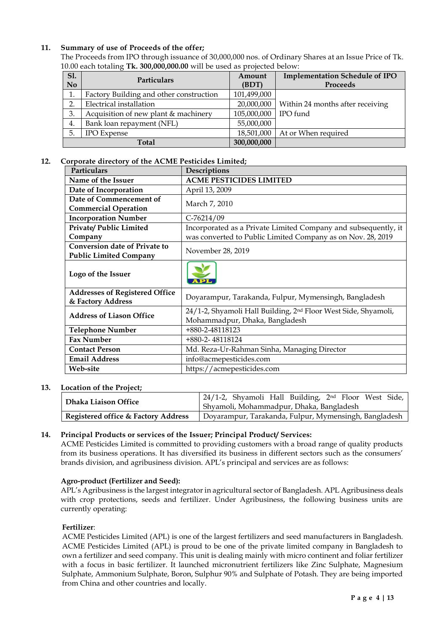#### **11. Summary of use of Proceeds of the offer;**

The Proceeds from IPO through issuance of 30,000,000 nos. of Ordinary Shares at an Issue Price of Tk. 10.00 each totaling **Tk. 300,000,000.00** will be used as projected below:

| <b>S1.</b> | Particulars                             | Amount      | <b>Implementation Schedule of IPO</b> |
|------------|-----------------------------------------|-------------|---------------------------------------|
|            | N <sub>o</sub>                          |             | Proceeds                              |
| 1.         | Factory Building and other construction | 101,499,000 |                                       |
| 2.         | Electrical installation                 | 20,000,000  | Within 24 months after receiving      |
| 3.         | Acquisition of new plant & machinery    | 105,000,000 | IPO fund                              |
| 4.         | Bank loan repayment (NFL)               | 55,000,000  |                                       |
| 5.         | <b>IPO</b> Expense                      | 18,501,000  | At or When required                   |
|            | <b>Total</b>                            | 300,000,000 |                                       |

#### **12. Corporate directory of the ACME Pesticides Limited;**

| Particulars                                                | Descriptions                                                               |
|------------------------------------------------------------|----------------------------------------------------------------------------|
| Name of the Issuer                                         | <b>ACME PESTICIDES LIMITED</b>                                             |
| Date of Incorporation                                      | April 13, 2009                                                             |
| Date of Commencement of                                    | March 7, 2010                                                              |
| <b>Commercial Operation</b>                                |                                                                            |
| <b>Incorporation Number</b>                                | $C-76214/09$                                                               |
| Private/ Public Limited                                    | Incorporated as a Private Limited Company and subsequently, it             |
| Company                                                    | was converted to Public Limited Company as on Nov. 28, 2019                |
| <b>Conversion date of Private to</b>                       | November 28, 2019                                                          |
| <b>Public Limited Company</b>                              |                                                                            |
| Logo of the Issuer                                         |                                                                            |
| <b>Addresses of Registered Office</b><br>& Factory Address | Doyarampur, Tarakanda, Fulpur, Mymensingh, Bangladesh                      |
| <b>Address of Liason Office</b>                            | 24/1-2, Shyamoli Hall Building, 2 <sup>nd</sup> Floor West Side, Shyamoli, |
|                                                            | Mohammadpur, Dhaka, Bangladesh                                             |
| <b>Telephone Number</b>                                    | +880-2-48118123                                                            |
| <b>Fax Number</b>                                          | +880-2-48118124                                                            |
| <b>Contact Person</b>                                      | Md. Reza-Ur-Rahman Sinha, Managing Director                                |
| <b>Email Address</b>                                       | info@acmepesticides.com                                                    |
| Web-site                                                   | https://acmepesticides.com                                                 |

#### **13. Location of the Project;**

| Dhaka Liaison Office                           | 24/1-2, Shyamoli Hall Building, 2 <sup>nd</sup> Floor West Side,<br>  Shyamoli, Mohammadpur, Dhaka, Bangladesh |
|------------------------------------------------|----------------------------------------------------------------------------------------------------------------|
| <b>Registered office &amp; Factory Address</b> | Doyarampur, Tarakanda, Fulpur, Mymensingh, Bangladesh                                                          |

#### **14. Principal Products or services of the Issuer; Principal Product/ Services:**

ACME Pesticides Limited is committed to providing customers with a broad range of quality products from its business operations. It has diversified its business in different sectors such as the consumers' brands division, and agribusiness division. APL's principal and services are as follows:

#### **Agro-product (Fertilizer and Seed):**

APL's Agribusiness is the largest integrator in agricultural sector of Bangladesh. APL Agribusiness deals with crop protections, seeds and fertilizer. Under Agribusiness, the following business units are currently operating:

#### **Fertilizer**:

ACME Pesticides Limited (APL) is one of the largest fertilizers and seed manufacturers in Bangladesh. ACME Pesticides Limited (APL) is proud to be one of the private limited company in Bangladesh to own a fertilizer and seed company. This unit is dealing mainly with micro continent and foliar fertilizer with a focus in basic fertilizer. It launched micronutrient fertilizers like Zinc Sulphate, Magnesium Sulphate, Ammonium Sulphate, Boron, Sulphur 90% and Sulphate of Potash. They are being imported from China and other countries and locally.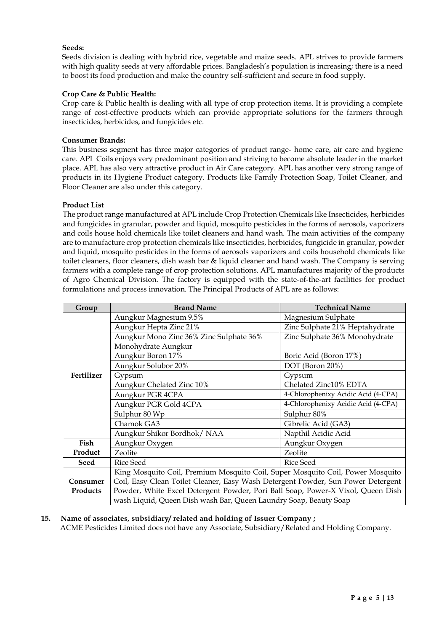#### **Seeds:**

Seeds division is dealing with hybrid rice, vegetable and maize seeds. APL strives to provide farmers with high quality seeds at very affordable prices. Bangladesh's population is increasing; there is a need to boost its food production and make the country self-sufficient and secure in food supply.

#### **Crop Care & Public Health:**

Crop care & Public health is dealing with all type of crop protection items. It is providing a complete range of cost-effective products which can provide appropriate solutions for the farmers through insecticides, herbicides, and fungicides etc.

#### **Consumer Brands:**

This business segment has three major categories of product range- home care, air care and hygiene care. APL Coils enjoys very predominant position and striving to become absolute leader in the market place. APL has also very attractive product in Air Care category. APL has another very strong range of products in its Hygiene Product category. Products like Family Protection Soap, Toilet Cleaner, and Floor Cleaner are also under this category.

#### **Product List**

The product range manufactured at APL include Crop Protection Chemicals like Insecticides, herbicides and fungicides in granular, powder and liquid, mosquito pesticides in the forms of aerosols, vaporizers and coils house hold chemicals like toilet cleaners and hand wash. The main activities of the company are to manufacture crop protection chemicals like insecticides, herbicides, fungicide in granular, powder and liquid, mosquito pesticides in the forms of aerosols vaporizers and coils household chemicals like toilet cleaners, floor cleaners, dish wash bar & liquid cleaner and hand wash. The Company is serving farmers with a complete range of crop protection solutions. APL manufactures majority of the products of Agro Chemical Division. The factory is equipped with the state-of-the-art facilities for product formulations and process innovation. The Principal Products of APL are as follows:

| Group      | <b>Brand Name</b>                                                                | <b>Technical Name</b>               |
|------------|----------------------------------------------------------------------------------|-------------------------------------|
|            | Aungkur Magnesium 9.5%                                                           | Magnesium Sulphate                  |
|            | Aungkur Hepta Zinc 21%                                                           | Zinc Sulphate 21% Heptahydrate      |
|            | Aungkur Mono Zinc 36% Zinc Sulphate 36%                                          | Zinc Sulphate 36% Monohydrate       |
|            | Monohydrate Aungkur                                                              |                                     |
|            | Aungkur Boron 17%                                                                | Boric Acid (Boron 17%)              |
|            | Aungkur Solubor 20%                                                              | DOT (Boron 20%)                     |
| Fertilizer | Gypsum                                                                           | Gypsum                              |
|            | Aungkur Chelated Zinc 10%                                                        | Chelated Zinc10% EDTA               |
|            | Aungkur PGR 4CPA                                                                 | 4-Chlorophenixy Acidic Acid (4-CPA) |
|            | Aungkur PGR Gold 4CPA                                                            | 4-Chlorophenixy Acidic Acid (4-CPA) |
|            | Sulphur 80 Wp                                                                    | Sulphur 80%                         |
|            | Chamok GA3                                                                       | Gibrelic Acid (GA3)                 |
|            | Aungkur Shikor Bordhok/ NAA                                                      | Napthil Acidic Acid                 |
| Fish       | Aungkur Oxygen                                                                   | Aungkur Oxygen                      |
| Product    | Zeolite                                                                          | Zeolite                             |
| Seed       | <b>Rice Seed</b>                                                                 | <b>Rice Seed</b>                    |
|            | King Mosquito Coil, Premium Mosquito Coil, Super Mosquito Coil, Power Mosquito   |                                     |
| Consumer   | Coil, Easy Clean Toilet Cleaner, Easy Wash Detergent Powder, Sun Power Detergent |                                     |
| Products   | Powder, White Excel Detergent Powder, Pori Ball Soap, Power-X Vixol, Queen Dish  |                                     |
|            | wash Liquid, Queen Dish wash Bar, Queen Laundry Soap, Beauty Soap                |                                     |

#### **15. Name of associates, subsidiary/ related and holding of Issuer Company ;**

ACME Pesticides Limited does not have any Associate, Subsidiary/Related and Holding Company.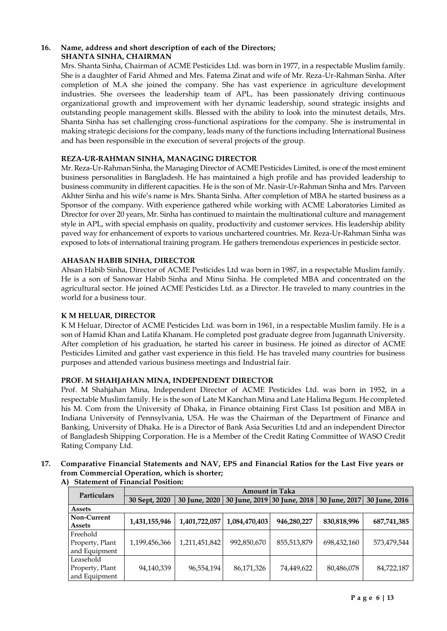#### **16. Name, address and short description of each of the Directors; SHANTA SINHA, CHAIRMAN**

Mrs. Shanta Sinha, Chairman of ACME Pesticides Ltd. was born in 1977, in a respectable Muslim family. She is a daughter of Farid Ahmed and Mrs. Fatema Zinat and wife of Mr. Reza-Ur-Rahman Sinha. After completion of M.A she joined the company. She has vast experience in agriculture development industries. She oversees the leadership team of APL, has been passionately driving continuous organizational growth and improvement with her dynamic leadership, sound strategic insights and outstanding people management skills. Blessed with the ability to look into the minutest details, Mrs. Shanta Sinha has set challenging cross-functional aspirations for the company. She is instrumental in making strategic decisions for the company, leads many of the functions including International Business and has been responsible in the execution of several projects of the group.

#### **REZA-UR-RAHMAN SINHA, MANAGING DIRECTOR**

Mr. Reza-Ur-Rahman Sinha, the Managing Director of ACME Pesticides Limited, is one of the most eminent business personalities in Bangladesh. He has maintained a high profile and has provided leadership to business community in different capacities. He is the son of Mr. Nasir-Ur-Rahman Sinha and Mrs. Parveen Akhter Sinha and his wife's name is Mrs. Shanta Sinha. After completion of MBA he started business as a Sponsor of the company. With experience gathered while working with ACME Laboratories Limited as Director for over 20 years, Mr. Sinha has continued to maintain the multinational culture and management style in APL, with special emphasis on quality, productivity and customer services. His leadership ability paved way for enhancement of exports to various unchartered countries. Mr. Reza-Ur-Rahman Sinha was exposed to lots of international training program. He gathers tremendous experiences in pesticide sector.

#### **AHASAN HABIB SINHA, DIRECTOR**

Ahsan Habib Sinha, Director of ACME Pesticides Ltd was born in 1987, in a respectable Muslim family. He is a son of Sanowar Habib Sinha and Minu Sinha. He completed MBA and concentrated on the agricultural sector. He joined ACME Pesticides Ltd. as a Director. He traveled to many countries in the world for a business tour.

#### **K M HELUAR, DIRECTOR**

K M Heluar, Director of ACME Pesticides Ltd. was born in 1961, in a respectable Muslim family. He is a son of Hamid Khan and Latifa Khanam. He completed post graduate degree from Jugannath University. After completion of his graduation, he started his career in business. He joined as director of ACME Pesticides Limited and gather vast experience in this field. He has traveled many countries for business purposes and attended various business meetings and Industrial fair.

#### **PROF. M SHAHJAHAN MINA, INDEPENDENT DIRECTOR**

Prof. M Shahjahan Mina, Independent Director of ACME Pesticides Ltd. was born in 1952, in a respectable Muslim family. He is the son of Late M Kanchan Mina and Late Halima Begum. He completed his M. Com from the University of Dhaka, in Finance obtaining First Class 1st position and MBA in Indiana University of Pennsylvania, USA. He was the Chairman of the Department of Finance and Banking, University of Dhaka. He is a Director of Bank Asia Securities Ltd and an independent Director of Bangladesh Shipping Corporation. He is a Member of the Credit Rating Committee of WASO Credit Rating Company Ltd.

#### **17. Comparative Financial Statements and NAV, EPS and Financial Ratios for the Last Five years or from Commercial Operation, which is shorter; A) Statement of Financial Position:**

| Particulars     | <b>Amount in Taka</b> |               |               |                             |               |               |  |  |  |  |  |  |  |
|-----------------|-----------------------|---------------|---------------|-----------------------------|---------------|---------------|--|--|--|--|--|--|--|
|                 | 30 Sept, 2020         | 30 June, 2020 |               | 30 June, 2019 30 June, 2018 | 30 June, 2017 | 30 June, 2016 |  |  |  |  |  |  |  |
| <b>Assets</b>   |                       |               |               |                             |               |               |  |  |  |  |  |  |  |
| Non-Current     | 1,431,155,946         | 1,401,722,057 | 1,084,470,403 | 946,280,227                 | 830,818,996   | 687,741,385   |  |  |  |  |  |  |  |
| <b>Assets</b>   |                       |               |               |                             |               |               |  |  |  |  |  |  |  |
| Freehold        |                       |               |               |                             |               |               |  |  |  |  |  |  |  |
| Property, Plant | 1,199,456,366         | 1,211,451,842 | 992,850,670   | 855,513,879                 | 698,432,160   | 573,479,544   |  |  |  |  |  |  |  |
| and Equipment   |                       |               |               |                             |               |               |  |  |  |  |  |  |  |
| Leasehold       |                       |               |               |                             |               |               |  |  |  |  |  |  |  |
| Property, Plant | 94,140,339            | 96,554,194    | 86,171,326    | 74,449,622                  | 80,486,078    | 84,722,187    |  |  |  |  |  |  |  |
| and Equipment   |                       |               |               |                             |               |               |  |  |  |  |  |  |  |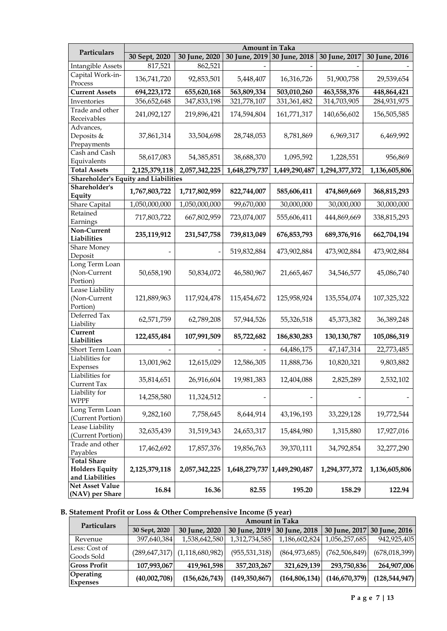|                                                                |               | <b>Amount in Taka</b> |                             |               |               |               |  |  |  |  |  |
|----------------------------------------------------------------|---------------|-----------------------|-----------------------------|---------------|---------------|---------------|--|--|--|--|--|
| Particulars                                                    | 30 Sept, 2020 | 30 June, 2020         | 30 June, 2019               | 30 June, 2018 | 30 June, 2017 | 30 June, 2016 |  |  |  |  |  |
| <b>Intangible Assets</b>                                       | 817,521       | 862,521               |                             |               |               |               |  |  |  |  |  |
| Capital Work-in-<br>Process                                    | 136,741,720   | 92,853,501            | 5,448,407                   | 16,316,726    | 51,900,758    | 29,539,654    |  |  |  |  |  |
| <b>Current Assets</b>                                          | 694,223,172   | 655,620,168           | 563,809,334                 | 503,010,260   | 463,558,376   | 448,864,421   |  |  |  |  |  |
| Inventories                                                    | 356,652,648   | 347,833,198           | 321,778,107                 | 331, 361, 482 | 314,703,905   | 284,931,975   |  |  |  |  |  |
| Trade and other<br>Receivables                                 | 241,092,127   | 219,896,421           | 174,594,804                 | 161,771,317   | 140,656,602   | 156,505,585   |  |  |  |  |  |
| Advances,<br>Deposits &<br>Prepayments                         | 37,861,314    | 33,504,698            | 28,748,053                  | 8,781,869     | 6,969,317     | 6,469,992     |  |  |  |  |  |
| Cash and Cash<br>Equivalents                                   | 58,617,083    | 54,385,851            | 38,688,370                  | 1,095,592     | 1,228,551     | 956,869       |  |  |  |  |  |
| <b>Total Assets</b>                                            | 2,125,379,118 | 2,057,342,225         | 1,648,279,737               | 1,449,290,487 | 1,294,377,372 | 1,136,605,806 |  |  |  |  |  |
| Shareholder's Equity and Liabilities                           |               |                       |                             |               |               |               |  |  |  |  |  |
| Shareholder's<br>Equity                                        | 1,767,803,722 | 1,717,802,959         | 822,744,007                 | 585,606,411   | 474,869,669   | 368,815,293   |  |  |  |  |  |
| Share Capital                                                  | 1,050,000,000 | 1,050,000,000         | 99,670,000                  | 30,000,000    | 30,000,000    | 30,000,000    |  |  |  |  |  |
| Retained<br>Earnings                                           | 717,803,722   | 667,802,959           | 723,074,007                 | 555,606,411   | 444,869,669   | 338,815,293   |  |  |  |  |  |
| Non-Current<br>Liabilities                                     | 235,119,912   | 231,547,758           | 739,813,049                 | 676,853,793   | 689,376,916   | 662,704,194   |  |  |  |  |  |
| <b>Share Money</b><br>Deposit                                  |               |                       | 519,832,884                 | 473,902,884   | 473,902,884   | 473,902,884   |  |  |  |  |  |
| Long Term Loan<br>(Non-Current<br>Portion)                     | 50,658,190    | 50,834,072            | 46,580,967                  | 21,665,467    | 34,546,577    | 45,086,740    |  |  |  |  |  |
| Lease Liability<br>(Non-Current<br>Portion)                    | 121,889,963   | 117,924,478           | 115,454,672                 | 125,958,924   | 135,554,074   | 107,325,322   |  |  |  |  |  |
| Deferred Tax<br>Liability                                      | 62,571,759    | 62,789,208            | 57,944,526                  | 55,326,518    | 45,373,382    | 36,389,248    |  |  |  |  |  |
| Current<br>Liabilities                                         | 122,455,484   | 107,991,509           | 85,722,682                  | 186,830,283   | 130,130,787   | 105,086,319   |  |  |  |  |  |
| Short Term Loan                                                |               |                       |                             | 64,486,175    | 47,147,314    | 22,773,485    |  |  |  |  |  |
| Liabilities for<br>Expenses                                    | 13,001,962    | 12,615,029            | 12,586,305                  | 11,888,736    | 10,820,321    | 9,803,882     |  |  |  |  |  |
| Liabilities for<br>Current Tax                                 | 35,814,651    | 26,916,604            | 19,981,383                  | 12,404,088    | 2,825,289     | 2,532,102     |  |  |  |  |  |
| Liability for<br><b>WPPF</b>                                   | 14,258,580    | 11,324,512            |                             |               |               |               |  |  |  |  |  |
| Long Term Loan<br>(Current Portion)                            | 9,282,160     | 7,758,645             | 8,644,914                   | 43,196,193    | 33,229,128    | 19,772,544    |  |  |  |  |  |
| Lease Liability<br>(Current Portion)                           | 32,635,439    | 31,519,343            | 24,653,317                  | 15,484,980    | 1,315,880     | 17,927,016    |  |  |  |  |  |
| Trade and other<br>Payables                                    | 17,462,692    | 17,857,376            | 19,856,763                  | 39,370,111    | 34,792,854    | 32,277,290    |  |  |  |  |  |
| <b>Total Share</b><br><b>Holders Equity</b><br>and Liabilities | 2,125,379,118 | 2,057,342,225         | 1,648,279,737 1,449,290,487 |               | 1,294,377,372 | 1,136,605,806 |  |  |  |  |  |
| Net Asset Value<br>(NAV) per Share                             | 16.84         | 16.36                 | 82.55                       | 195.20        | 158.29        | 122.94        |  |  |  |  |  |

### **B. Statement Profit or Loss & Other Comprehensive Income (5 year)**

| Particulars                  | <b>Amount in Taka</b> |                                        |                 |                 |                 |                             |  |  |  |  |  |  |  |
|------------------------------|-----------------------|----------------------------------------|-----------------|-----------------|-----------------|-----------------------------|--|--|--|--|--|--|--|
|                              | 30 Sept, 2020         | 30 June, 2020                          | 30 June, 2019   | 30 June, 2018   |                 | 30 June, 2017 30 June, 2016 |  |  |  |  |  |  |  |
| Revenue                      | 397,640,384           | 1,538,642,580                          | 1,312,734,585   | 1,186,602,824   | 1,056,257,685   | 942,925,405                 |  |  |  |  |  |  |  |
| Less: Cost of<br>Goods Sold  |                       | $(289, 647, 317)$ $(1, 118, 680, 982)$ | (955, 531, 318) | (864, 973, 685) | (762,506,849)   | (678, 018, 399)             |  |  |  |  |  |  |  |
| <b>Gross Profit</b>          | 107,993,067           | 419,961,598                            | 357,203,267     | 321,629,139     | 293,750,836     | 264,907,006                 |  |  |  |  |  |  |  |
| Operating<br><b>Expenses</b> | (40,002,708)          | (156, 626, 743)                        | (149, 350, 867) | (164, 806, 134) | (146, 670, 379) | (128, 544, 947)             |  |  |  |  |  |  |  |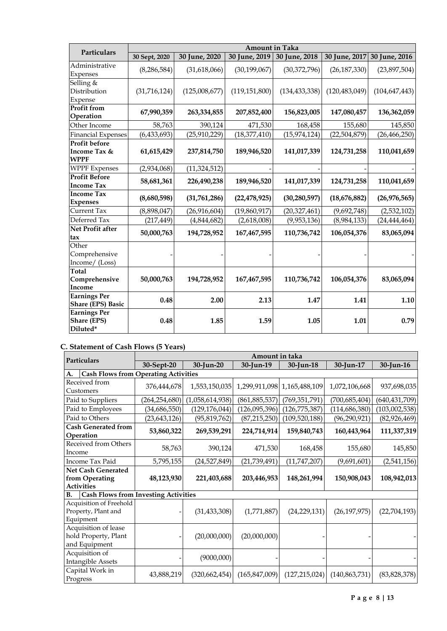| Particulars                                         | <b>Amount in Taka</b> |                |                 |                 |                 |                 |  |
|-----------------------------------------------------|-----------------------|----------------|-----------------|-----------------|-----------------|-----------------|--|
|                                                     | 30 Sept, 2020         | 30 June, 2020  | 30 June, 2019   | 30 June, 2018   | 30 June, 2017   | 30 June, 2016   |  |
| Administrative<br>Expenses                          | (8, 286, 584)         | (31,618,066)   | (30, 199, 067)  | (30, 372, 796)  | (26, 187, 330)  | (23,897,504)    |  |
| Selling &<br>Distribution<br>Expense                | (31,716,124)          | (125,008,677)  | (119, 151, 800) | (134, 433, 338) | (120, 483, 049) | (104, 647, 443) |  |
| <b>Profit from</b><br>Operation                     | 67,990,359            | 263,334,855    | 207,852,400     | 156,823,005     | 147,080,457     | 136,362,059     |  |
| Other Income                                        | 58,763                | 390,124        | 471,530         | 168,458         | 155,680         | 145,850         |  |
| <b>Financial Expenses</b>                           | (6,433,693)           | (25,910,229)   | (18, 377, 410)  | (15, 974, 124)  | (22, 504, 879)  | (26, 466, 250)  |  |
| <b>Profit before</b><br>Income Tax &<br><b>WPPF</b> | 61,615,429            | 237,814,750    | 189,946,520     | 141,017,339     | 124,731,258     | 110,041,659     |  |
| <b>WPPF</b> Expenses                                | (2,934,068)           | (11, 324, 512) |                 |                 |                 |                 |  |
| <b>Profit Before</b><br><b>Income Tax</b>           | 58,681,361            | 226,490,238    | 189,946,520     | 141,017,339     | 124,731,258     | 110,041,659     |  |
| <b>Income Tax</b><br><b>Expenses</b>                | (8,680,598)           | (31,761,286)   | (22, 478, 925)  | (30, 280, 597)  | (18,676,882)    | (26, 976, 565)  |  |
| Current Tax                                         | (8,898,047)           | (26,916,604)   | (19,860,917)    | (20,327,461)    | (9,692,748)     | (2,532,102)     |  |
| Deferred Tax                                        | (217, 449)            | (4,844,682)    | (2,618,008)     | (9,953,136)     | (8,984,133)     | (24, 444, 464)  |  |
| <b>Net Profit after</b><br>tax                      | 50,000,763            | 194,728,952    | 167,467,595     | 110,736,742     | 106,054,376     | 83,065,094      |  |
| Other<br>Comprehensive<br>Income/ (Loss)            |                       |                |                 |                 |                 |                 |  |
| <b>Total</b><br>Comprehensive<br>Income             | 50,000,763            | 194,728,952    | 167,467,595     | 110,736,742     | 106,054,376     | 83,065,094      |  |
| Earnings Per<br><b>Share (EPS) Basic</b>            | 0.48                  | 2.00           | 2.13            | 1.47            | 1.41            | 1.10            |  |
| <b>Earnings Per</b><br>Share (EPS)<br>Diluted*      | 0.48                  | 1.85           | 1.59            | 1.05            | 1.01            | 0.79            |  |

### **C. Statement of Cash Flows (5 Years)**

| Particulars                                                   | Amount in taka  |                 |                 |                 |                 |                 |  |  |  |  |  |  |
|---------------------------------------------------------------|-----------------|-----------------|-----------------|-----------------|-----------------|-----------------|--|--|--|--|--|--|
|                                                               | 30-Sept-20      | 30-Jun-20       | 30-Jun-19       | 30-Jun-18       | 30-Jun-17       | 30-Jun-16       |  |  |  |  |  |  |
| <b>Cash Flows from Operating Activities</b><br>A.             |                 |                 |                 |                 |                 |                 |  |  |  |  |  |  |
| Received from<br>Customers                                    | 376,444,678     | 1,553,150,035   | 1,299,911,098   | 1,165,488,109   | 1,072,106,668   | 937,698,035     |  |  |  |  |  |  |
| Paid to Suppliers                                             | (264, 254, 680) | (1,058,614,938) | (861, 885, 537) | (769, 351, 791) | (700, 685, 404) | (640, 431, 709) |  |  |  |  |  |  |
| Paid to Employees                                             | (34,686,550)    | (129, 176, 044) | (126,095,396)   | (126, 775, 387) | (114, 686, 380) | (103,002,538)   |  |  |  |  |  |  |
| Paid to Others                                                | (23, 643, 126)  | (95, 819, 762)  | (87, 215, 250)  | (109, 520, 188) | (96, 290, 921)  | (82, 926, 469)  |  |  |  |  |  |  |
| <b>Cash Generated from</b><br>Operation                       | 53,860,322      | 269,539,291     | 224,714,914     | 159,840,743     | 160,443,964     | 111,337,319     |  |  |  |  |  |  |
| Received from Others<br>Income                                | 58,763          | 390,124         | 471,530         | 168,458         | 155,680         | 145,850         |  |  |  |  |  |  |
| Income Tax Paid                                               | 5,795,155       | (24, 527, 849)  | (21, 739, 491)  | (11, 747, 207)  | (9,691,601)     | (2,541,156)     |  |  |  |  |  |  |
| Net Cash Generated<br>from Operating<br><b>Activities</b>     | 48,123,930      | 221,403,688     | 203,446,953     | 148,261,994     | 150,908,043     | 108,942,013     |  |  |  |  |  |  |
| <b>B.</b><br><b>Cash Flows from Investing Activities</b>      |                 |                 |                 |                 |                 |                 |  |  |  |  |  |  |
| Acquisition of Freehold<br>Property, Plant and<br>Equipment   |                 | (31, 433, 308)  | (1,771,887)     | (24, 229, 131)  | (26, 197, 975)  | (22,704,193)    |  |  |  |  |  |  |
| Acquisition of lease<br>hold Property, Plant<br>and Equipment |                 | (20,000,000)    | (20,000,000)    |                 |                 |                 |  |  |  |  |  |  |
| Acquisition of<br><b>Intangible Assets</b>                    |                 | (9000,000)      |                 |                 |                 |                 |  |  |  |  |  |  |
| Capital Work in<br>Progress                                   | 43,888,219      | (320, 662, 454) | (165, 847, 009) | (127, 215, 024) | (140, 863, 731) | (83,828,378)    |  |  |  |  |  |  |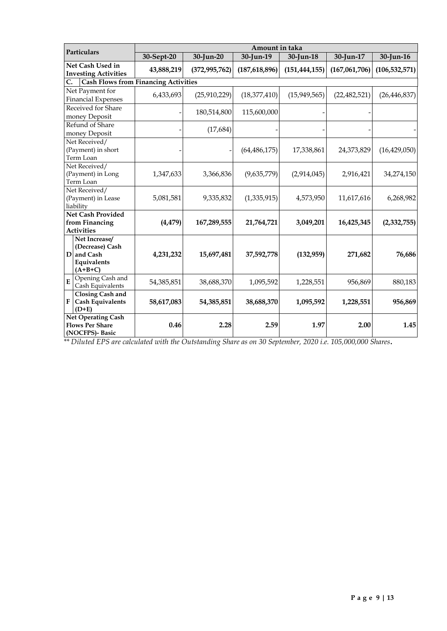|           | Particulars                                                                |            |                 | Amount in taka  |                 |                 |                 |
|-----------|----------------------------------------------------------------------------|------------|-----------------|-----------------|-----------------|-----------------|-----------------|
|           |                                                                            | 30-Sept-20 | 30-Jun-20       | 30-Jun-19       | $30$ -Jun-18    | 30-Jun-17       | 30-Jun-16       |
|           | Net Cash Used in<br><b>Investing Activities</b>                            | 43,888,219 | (372, 995, 762) | (187, 618, 896) | (151, 444, 155) | (167, 061, 706) | (106, 532, 571) |
| C.        | <b>Cash Flows from Financing Activities</b>                                |            |                 |                 |                 |                 |                 |
|           | Net Payment for<br><b>Financial Expenses</b>                               | 6,433,693  | (25,910,229)    | (18, 377, 410)  | (15, 949, 565)  | (22, 482, 521)  | (26, 446, 837)  |
|           | Received for Share<br>money Deposit                                        |            | 180,514,800     | 115,600,000     |                 |                 |                 |
|           | Refund of Share<br>money Deposit                                           |            | (17, 684)       |                 |                 |                 |                 |
|           | Net Received/<br>(Payment) in short<br>Term Loan                           |            |                 | (64, 486, 175)  | 17,338,861      | 24,373,829      | (16,429,050)    |
|           | Net Received/<br>(Payment) in Long<br>Term Loan                            | 1,347,633  | 3,366,836       | (9,635,779)     | (2,914,045)     | 2,916,421       | 34,274,150      |
|           | Net Received/<br>(Payment) in Lease<br>liability                           | 5,081,581  | 9,335,832       | (1,335,915)     | 4,573,950       | 11,617,616      | 6,268,982       |
|           | <b>Net Cash Provided</b><br>from Financing<br><b>Activities</b>            | (4, 479)   | 167,289,555     | 21,764,721      | 3,049,201       | 16,425,345      | (2,332,755)     |
|           | Net Increase/<br>(Decrease) Cash<br>D and Cash<br>Equivalents<br>$(A+B+C)$ | 4,231,232  | 15,697,481      | 37,592,778      | (132, 959)      | 271,682         | 76,686          |
| ${\bf E}$ | Opening Cash and<br>Cash Equivalents                                       | 54,385,851 | 38,688,370      | 1,095,592       | 1,228,551       | 956,869         | 880,183         |
|           | Closing Cash and<br>F Cash Equivalents<br>$(D+E)$                          | 58,617,083 | 54,385,851      | 38,688,370      | 1,095,592       | 1,228,551       | 956,869         |
|           | <b>Net Operating Cash</b><br><b>Flows Per Share</b><br>(NOCFPS)- Basic     | 0.46       | 2.28            | 2.59            | 1.97            | 2.00            | 1.45            |

*\*\* Diluted EPS are calculated with the Outstanding Share as on 30 September, 2020 i.e. 105,000,000 Shares***.**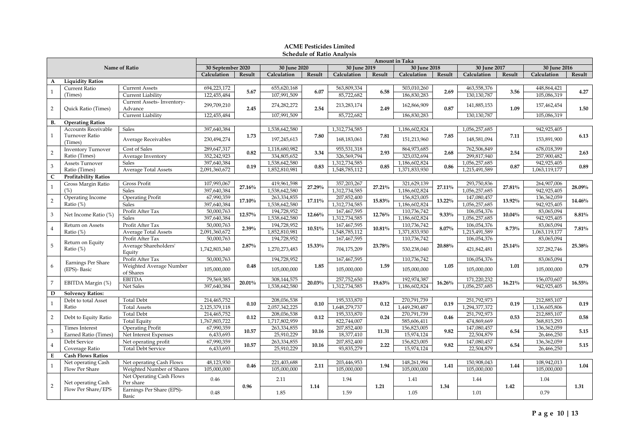|                |                               |                                       |                   |                        |               |           | ochcault of Katio Analysis |        | <b>Amount in Taka</b> |           |               |           |               |           |
|----------------|-------------------------------|---------------------------------------|-------------------|------------------------|---------------|-----------|----------------------------|--------|-----------------------|-----------|---------------|-----------|---------------|-----------|
|                |                               | Name of Ratio                         | 30 September 2020 |                        | 30 June 2020  |           | 30 June 2019               |        | 30 June 2018          |           | 30 June 2017  |           | 30 June 2016  |           |
|                |                               |                                       | Calculation       | Result                 | Calculation   | Result    | Calculation                | Result | Calculation           | Result    | Calculation   | Result    | Calculation   | Result    |
| $\mathbf{A}$   | <b>Liquidity Ratios</b>       |                                       |                   |                        |               |           |                            |        |                       |           |               |           |               |           |
|                | Current Ratio                 | <b>Current Assets</b>                 | 694,223,172       |                        | 655,620,168   |           | 563,809,334                |        | 503,010,260           |           | 463,558,376   |           | 448,864,421   |           |
| $\mathbf{1}$   | (Times)                       | Current Liability                     | 122,455,484       | 5.67                   | 107,991,509   | 6.07      | 85,722,682                 | 6.58   | 186,830,283           | 2.69      | 130,130,787   | 3.56      | 105,086,319   | 4.27      |
| $\overline{2}$ | <b>Ouick Ratio (Times)</b>    | Current Assets-Inventory-<br>Advance  | 299,709,210       | 2.45                   | 274, 282, 272 | 2.54      | 213, 283, 174              | 2.49   | 162,866,909           | 0.87      | 141,885,153   | 1.09      | 157,462,454   | 1.50      |
|                |                               | Current Liability                     | 122,455,484       |                        | 107,991,509   |           | 85,722,682                 |        | 186,830,283           |           | 130,130,787   |           | 105,086,319   |           |
| <b>B.</b>      | <b>Operating Ratios</b>       |                                       |                   |                        |               |           |                            |        |                       |           |               |           |               |           |
|                | <b>Accounts Receivable</b>    | <b>Sales</b>                          | 397,640,384       |                        | 1,538,642,580 |           | 1,312,734,585              |        | 1,186,602,824         |           | 1,056,257,685 |           | 942,925,405   |           |
| $\mathbf{1}$   | Turnover Ratio<br>(Times)     | <b>Average Receivables</b>            | 230,494,274       | 1.73                   | 197,245,613   | 7.80      | 168,183,061                | 7.81   | 151,213,960           | 7.85      | 148,581,094   | 7.11      | 153,891,900   | 6.13      |
| $\overline{2}$ | <b>Inventory Turnover</b>     | Cost of Sales                         | 289,647,317       | 0.82                   | 1,118,680,982 | 3.34      | 955,531,318                | 2.93   | 864,973,685           | 2.68      | 762,506,849   | 2.54      | 678,018,399   | 2.63      |
|                | Ratio (Times)                 | Average Inventory                     | 352,242,923       |                        | 334,805,652   |           | 326,569,794                |        | 323,032,694           |           | 299.817.940   |           | 257,900,482   |           |
| $\overline{3}$ | Assets Turnover               | <b>Sales</b>                          | 397,640,384       | 0.19                   | 1,538,642,580 | 0.83      | 1,312,734,585              | 0.85   | 1,186,602,824         | 0.86      | 1,056,257,685 | 0.87      | 942,925,405   | 0.89      |
|                | Ratio (Times)                 | <b>Average Total Assets</b>           | 2,091,360,672     |                        | 1,852,810,981 |           | 1,548,785,112              |        | 1,371,833,930         |           | 1,215,491,589 |           | 1,063,119,177 |           |
| $\mathsf{C}$   | <b>Profitability Ratios</b>   |                                       |                   |                        |               |           |                            |        |                       |           |               |           |               |           |
| $\mathbf{1}$   | Gross Margin Ratio            | Gross Profit                          | 107,993,067       | 27.16%                 | 419,961,598   | 27.29%    | 357,203,267                | 27.21% | 321,629,139           | 27.11%    | 293,750,836   | 27.81%    | 264,907,006   | 28.09%    |
|                | (%)                           | <b>Sales</b>                          | 397,640,384       |                        | 1,538,642,580 |           | 1,312,734,585              |        | 1.186.602.824         |           | 1,056,257,685 |           | 942,925,405   |           |
| $\sqrt{2}$     | Operating Income              | <b>Operating Profit</b>               | 67,990,359        | 17.10%                 | 263,334,855   | 17.11%    | 207,852,400                | 15.83% | 156,823,005           |           | 147,080,457   | 13.92%    | 136,362,059   | 14.46%    |
|                | Ratio (%)                     | <b>Sales</b>                          | 397,640,384       |                        | 1,538,642,580 |           | 1,312,734,585              |        | 1,186,602,824         | 13.22%    | 1,056,257,685 |           | 942,925,405   |           |
| $\overline{3}$ |                               | Profit After Tax                      | 50,000,763        |                        | 194,728,952   | $12.66\%$ | 167,467,595                |        | 110,736,742           |           | 106,054,376   |           | 83,065,094    |           |
|                | Net Income Ratio (%)          | <b>Sales</b>                          | 397,640,384       | 12.57%                 | 1,538,642,580 |           | 1,312,734,585              | 12.76% | 1,186,602,824         | 9.33%     | 1,056,257,685 | 10.04%    | 942,925,405   | $8.81\%$  |
|                | Return on Assets              | Profit After Tax                      | 50,000,763        |                        | 194,728,952   |           | 167,467,595                |        | 110,736,742           |           | 106,054,376   |           | 83,065,094    |           |
| $\overline{4}$ | Ratio $(\%)$                  | <b>Average Total Assets</b>           | 2,091,360,672     | 2.39%                  | 1,852,810,981 | 10.51%    | 1,548,785,112              | 10.81% | 1,371,833,930         | $8.07\%$  | 1,215,491,589 | 8.73%     | 1,063,119,177 | 7.81%     |
|                |                               | Profit After Tax                      | 50,000,763        |                        | 194,728,952   |           | 167,467,595                |        | 110,736,742           |           | 106,054,376   |           | 83,065,094    |           |
| $\overline{5}$ | Return on Equity<br>Ratio (%) | Average Shareholders'<br>Equity       | 1,742,803,340     | 2.87%                  | 1,270,273,483 | 15.33%    | 704,175,209                | 23.78% | 530,238,040           | 20.88%    | 421,842,481   | 25.14%    | 327,282,746   | 25.38%    |
|                | Earnings Per Share            | Profit After Tax                      | 50,000,763        |                        | 194,728,952   |           | 167,467,595                |        | 110,736,742           |           | 106,054,376   |           | 83,065,094    |           |
| 6              | (EPS)- Basic                  | Weighted Average Number<br>of Shares  | 105,000,000       | 0.48                   | 105,000,000   | 1.85      | 105,000,000                | 1.59   | 105,000,000           | 1.05      | 105,000,000   | 1.01      | 105,000,000   | 0.79      |
| $\overline{7}$ | EBITDA Margin (%)             | <b>EBITDA</b>                         | 79,569,385        | $\boldsymbol{20.01\%}$ | 308,144,575   | 20.03%    | 257,752,650                | 19.63% | 192,974,387           | $16.26\%$ | 171,220,232   | $16.21\%$ | 156,070,607   | $16.55\%$ |
|                |                               | Net Sales                             | 397,640,384       |                        | 1,538,642,580 |           | 1,312,734,585              |        | 1,186,602,824         |           | 1,056,257,685 |           | 942,925,405   |           |
| D              | <b>Solvency Ratios:</b>       |                                       |                   |                        |               |           |                            |        |                       |           |               |           |               |           |
| $\mathbf{1}$   | Debt to total Asset           | <b>Total Debt</b>                     | 214,465,752       | 0.10                   | 208,036,538   | 0.10      | 195,333,870                | 0.12   | 270,791,739           | 0.19      | 251,792,973   | 0.19      | 212,885,107   | 0.19      |
|                | Ratio                         | <b>Total Assets</b>                   | 2,125,379,118     |                        | 2,057,342,225 |           | 1,648,279,737              |        | 1,449,290,487         |           | 1,294,377,372 |           | 1,136,605,806 |           |
| $\sqrt{2}$     | Debt to Equity Ratio          | <b>Total Debt</b>                     | 214,465,752       | 0.12                   | 208,036,538   | 0.12      | 195,333,870                | 0.24   | 270,791,739           | 0.46      | 251,792,973   | 0.53      | 212,885,107   | 0.58      |
|                |                               | <b>Total Equity</b>                   | 1,767,803,722     |                        | 1,717,802,959 |           | 822,744,007                |        | 585,606,411           |           | 474,869,669   |           | 368,815,293   |           |
| $\overline{3}$ | <b>Times Interest</b>         | <b>Operating Profit</b>               | 67,990,359        | 10.57                  | 263,334,855   | 10.16     | 207,852,400                | 11.31  | 156,823,005           | 9.82      | 147,080,457   | 6.54      | 136,362,059   | 5.15      |
|                | Earned Ratio (Times)          | Net Interest Expenses                 | 6,433,693         |                        | 25,910,229    |           | 18,377,410                 |        | 15,974,124            |           | 22,504,879    |           | 26,466,250    |           |
| $\overline{4}$ | Debt Service                  | Net operating profit                  | 67,990,359        | 10.57                  | 263,334,855   |           | 207,852,400                | 2.22   | 156,823,005           | 9.82      | 147,080,457   | 6.54      | 136,362,059   |           |
|                | Coverage Ratio                | <b>Total Debt Service</b>             | 6,433,693         |                        | 25,910,229    | 10.16     | 93,835,279                 |        | 15,974,124            |           | 22,504,879    |           | 26,466,250    | 5.15      |
| $\bf E$        | <b>Cash Flows Ratios</b>      |                                       |                   |                        |               |           |                            |        |                       |           |               |           |               |           |
| $\mathbf{1}$   | Net operating Cash            | Net operating Cash Flows              | 48,123,930        |                        | 221,403,688   |           | 203,446,953                |        | 148,261,994           |           | 150,908,043   |           | 108,942,013   |           |
|                | Flow Per Share                | Weighted Number of Shares             | 105,000,000       | 0.46                   | 105,000,000   | 2.11      | 105,000,000                | 1.94   | 105,000,000           | 1.41      | 105,000,000   | 1.44      | 105,000,000   | 1.04      |
| $\overline{2}$ | Net operating Cash            | Net Operating Cash Flows<br>Per share | 0.46              | 0.96                   | 2.11          | 1.14      | 1.94                       | 1.21   | 1.41                  | 1.34      | 1.44          | 1.42      | 1.04          | 1.31      |
|                | Flow Per Share/EPS            | Earnings Per Share (EPS)-<br>Basic    | 0.48              |                        | 1.85          |           | 1.59                       |        | 1.05                  |           | 1.01          |           | 0.79          |           |

#### **ACME Pesticides Limited Schedule of Ratio Analysis**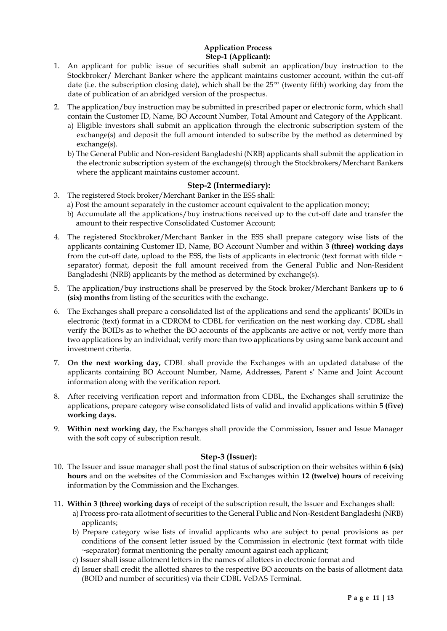#### **Application Process Step-1 (Applicant):**

- 1. An applicant for public issue of securities shall submit an application/buy instruction to the Stockbroker/ Merchant Banker where the applicant maintains customer account, within the cut-off date (i.e. the subscription closing date), which shall be the 25'\*' (twenty fifth) working day from the date of publication of an abridged version of the prospectus.
- 2. The application/buy instruction may be submitted in prescribed paper or electronic form, which shall contain the Customer ID, Name, BO Account Number, Total Amount and Category of the Applicant.
	- a) Eligible investors shall submit an application through the electronic subscription system of the exchange(s) and deposit the full amount intended to subscribe by the method as determined by exchange(s).
	- b) The General Public and Non-resident Bangladeshi (NRB) applicants shall submit the application in the electronic subscription system of the exchange(s) through the Stockbrokers/Merchant Bankers where the applicant maintains customer account.

#### **Step-2 (Intermediary):**

- 3. The registered Stock broker/Merchant Banker in the ESS shall:
	- a) Post the amount separately in the customer account equivalent to the application money;
		- b) Accumulate all the applications/buy instructions received up to the cut-off date and transfer the amount to their respective Consolidated Customer Account;
- 4. The registered Stockbroker/Merchant Banker in the ESS shall prepare category wise lists of the applicants containing Customer ID, Name, BO Account Number and within **3 (three) working days** from the cut-off date, upload to the ESS, the lists of applicants in electronic (text format with tilde  $\sim$ separator) format, deposit the full amount received from the General Public and Non-Resident Bangladeshi (NRB) applicants by the method as determined by exchange(s).
- 5. The application/buy instructions shall be preserved by the Stock broker/Merchant Bankers up to **6 (six) months** from listing of the securities with the exchange.
- 6. The Exchanges shall prepare a consolidated list of the applications and send the applicants' BOIDs in electronic (text) format in a CDROM to CDBL for verification on the nest working day. CDBL shall verify the BOIDs as to whether the BO accounts of the applicants are active or not, verify more than two applications by an individual; verify more than two applications by using same bank account and investment criteria.
- 7. **On the next working day,** CDBL shall provide the Exchanges with an updated database of the applicants containing BO Account Number, Name, Addresses, Parent s' Name and Joint Account information along with the verification report.
- 8. After receiving verification report and information from CDBL, the Exchanges shall scrutinize the applications, prepare category wise consolidated lists of valid and invalid applications within **5 (five) working days.**
- 9. **Within next working day,** the Exchanges shall provide the Commission, Issuer and Issue Manager with the soft copy of subscription result.

#### **Step-3 (Issuer):**

- 10. The Issuer and issue manager shall post the final status of subscription on their websites within **6 (six) hours** and on the websites of the Commission and Exchanges within **12 (twelve) hours** of receiving information by the Commission and the Exchanges.
- 11. **Within 3 (three) working days** of receipt of the subscription result, the Issuer and Exchanges shall:
	- a) Process pro-rata allotment of securities to the General Public and Non-Resident Bangladeshi (NRB) applicants;
	- b) Prepare category wise lists of invalid applicants who are subject to penal provisions as per conditions of the consent letter issued by the Commission in electronic (text format with tilde ~separator) format mentioning the penalty amount against each applicant;
	- c) Issuer shall issue allotment letters in the names of allottees in electronic format and
	- d) Issuer shall credit the allotted shares to the respective BO accounts on the basis of allotment data (BOID and number of securities) via their CDBL VeDAS Terminal.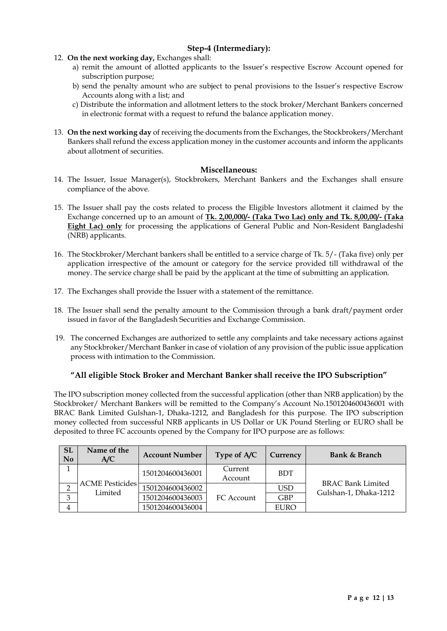#### **Step-4 (Intermediary):**

- 12. **On the next working day,** Exchanges shall:
	- a) remit the amount of allotted applicants to the Issuer's respective Escrow Account opened for subscription purpose;
	- b) send the penalty amount who are subject to penal provisions to the Issuer's respective Escrow Accounts along with a list; and
	- c) Distribute the information and allotment letters to the stock broker/Merchant Bankers concerned in electronic format with a request to refund the balance application money.
- 13. **On the next working day** of receiving the documents from the Exchanges, the Stockbrokers/Merchant Bankers shall refund the excess application money in the customer accounts and inform the applicants about allotment of securities.

#### **Miscellaneous:**

- 14. The Issuer, Issue Manager(s), Stockbrokers, Merchant Bankers and the Exchanges shall ensure compliance of the above.
- 15. The Issuer shall pay the costs related to process the Eligible Investors allotment it claimed by the Exchange concerned up to an amount of **Tk. 2,00,000/- (Taka Two Lac) only and Tk. 8,00,00/- (Taka Eight Lac) only** for processing the applications of General Public and Non-Resident Bangladeshi (NRB) applicants.
- 16. The Stockbroker/Merchant bankers shall be entitled to a service charge of Tk. 5/- (Taka five) only per application irrespective of the amount or category for the service provided till withdrawal of the money. The service charge shall be paid by the applicant at the time of submitting an application.
- 17. The Exchanges shall provide the Issuer with a statement of the remittance.
- 18. The Issuer shall send the penalty amount to the Commission through a bank draft/payment order issued in favor of the Bangladesh Securities and Exchange Commission.
- 19. The concerned Exchanges are authorized to settle any complaints and take necessary actions against any Stockbroker/Merchant Banker in case of violation of any provision of the public issue application process with intimation to the Commission.

#### **"All eligible Stock Broker and Merchant Banker shall receive the IPO Subscription"**

The IPO subscription money collected from the successful application (other than NRB application) by the Stockbroker/ Merchant Bankers will be remitted to the Company's Account No.1501204600436001 with BRAC Bank Limited Gulshan-1, Dhaka-1212, and Bangladesh for this purpose. The IPO subscription money collected from successful NRB applicants in US Dollar or UK Pound Sterling or EURO shall be deposited to three FC accounts opened by the Company for IPO purpose are as follows:

| <b>SL</b><br>No | Name of the<br>A/C     | <b>Account Number</b> | Type of A/C        | Currency    | Bank & Branch         |
|-----------------|------------------------|-----------------------|--------------------|-------------|-----------------------|
|                 |                        | 1501204600436001      | Current<br>Account | <b>BDT</b>  |                       |
|                 | <b>ACME Pesticides</b> | 1501204600436002      |                    | USD         | BRAC Bank Limited     |
| 3               | Limited                | 1501204600436003      | FC Account         | <b>GBP</b>  | Gulshan-1, Dhaka-1212 |
| 4               |                        | 1501204600436004      |                    | <b>EURO</b> |                       |